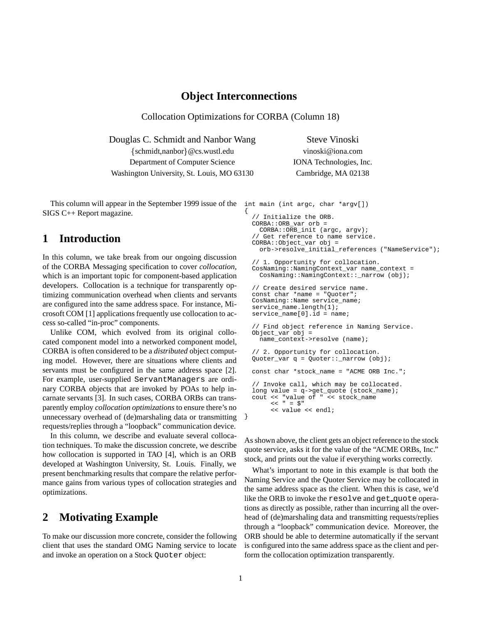### **Object Interconnections**

Collocation Optimizations for CORBA (Column 18)

Douglas C. Schmidt and Nanbor Wang Steve Vinoski

fschmidt,nanborg@cs.wustl.edu vinoski@iona.com Department of Computer Science IONA Technologies, Inc. Washington University, St. Louis, MO 63130 Cambridge, MA 02138

This column will appear in the September 1999 issue of the SIGS C++ Report magazine. {

## **1 Introduction**

In this column, we take break from our ongoing discussion of the CORBA Messaging specification to cover *collocation*, which is an important topic for component-based application developers. Collocation is a technique for transparently optimizing communication overhead when clients and servants are configured into the same address space. For instance, Microsoft COM [1] applications frequently use collocation to access so-called "in-proc" components.

Unlike COM, which evolved from its original collocated component model into a networked component model, CORBA is often considered to be a *distributed* object computing model. However, there are situations where clients and servants must be configured in the same address space [2]. For example, user-supplied ServantManagers are ordinary CORBA objects that are invoked by POAs to help incarnate servants [3]. In such cases, CORBA ORBs can transparently employ *collocation optimizations* to ensure there's no unnecessary overhead of (de)marshaling data or transmitting requests/replies through a "loopback" communication device.

In this column, we describe and evaluate several collocation techniques. To make the discussion concrete, we describe how collocation is supported in TAO [4], which is an ORB developed at Washington University, St. Louis. Finally, we present benchmarking results that compare the relative performance gains from various types of collocation strategies and optimizations.

## **2 Motivating Example**

To make our discussion more concrete, consider the following client that uses the standard OMG Naming service to locate and invoke an operation on a Stock Quoter object:

```
int main (int argc, char *argv[])
  // Initialize the ORB.
  CORBA::ORB_var orb =
    CORBA::ORB_init (argc, argv);
    Get reference to name service.
  CORBA::Object_var obj =
    orb->resolve_initial_references ("NameService");
```

```
// 1. Opportunity for collocation.
CosNaming::NamingContext_var name_context =
  CosNaming::NamingContext::_narrow (obj);
```

```
// Create desired service name.
const char *name = "Quoter";
CosNaming::Name service_name;
service_name.length(1);
service_name[0].id = name;
```

```
// Find object reference in Naming Service.
Object_var obj =
 name_context->resolve (name);
// 2. Opportunity for collocation.
Quoter_var q = Quoter::_narrow (obj);
const char *stock_name = "ACME ORB Inc.";
// Invoke call, which may be collocated.
long value = q->get_quote (stock_name);
cout << "value of " << stock_name
     << " = \hat{S}"
     << value << endl;
```
As shown above, the client gets an object reference to the stock quote service, asks it for the value of the "ACME ORBs, Inc." stock, and prints out the value if everything works correctly.

What's important to note in this example is that both the Naming Service and the Quoter Service may be collocated in the same address space as the client. When this is case, we'd like the ORB to invoke the resolve and get quote operations as directly as possible, rather than incurring all the overhead of (de)marshaling data and transmitting requests/replies through a "loopback" communication device. Moreover, the ORB should be able to determine automatically if the servant is configured into the same address space as the client and perform the collocation optimization transparently.

}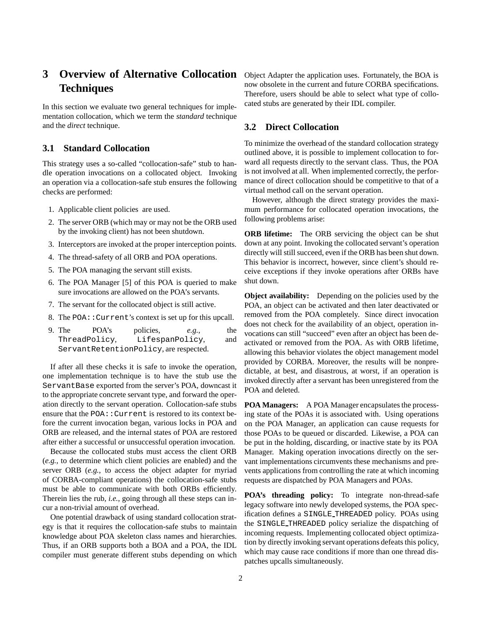# **3** Overview of Alternative Collocation Object Adapter the application uses. Fortunately, the BOA is **Techniques**

In this section we evaluate two general techniques for implementation collocation, which we term the *standard* technique and the *direct* technique.

#### **3.1 Standard Collocation**

This strategy uses a so-called "collocation-safe" stub to handle operation invocations on a collocated object. Invoking an operation via a collocation-safe stub ensures the following checks are performed:

- 1. Applicable client policies are used.
- 2. The server ORB (which may or may not be the ORB used by the invoking client) has not been shutdown.
- 3. Interceptors are invoked at the proper interception points.
- 4. The thread-safety of all ORB and POA operations.
- 5. The POA managing the servant still exists.
- 6. The POA Manager [5] of this POA is queried to make sure invocations are allowed on the POA's servants.
- 7. The servant for the collocated object is still active.
- 8. The POA:: Current's context is set up for this upcall.
- 9. The POA's policies, *e.g.*, the ThreadPolicy, LifespanPolicy, and ServantRetentionPolicy, are respected.

If after all these checks it is safe to invoke the operation, one implementation technique is to have the stub use the ServantBase exported from the server's POA, downcast it to the appropriate concrete servant type, and forward the operation directly to the servant operation. Collocation-safe stubs ensure that the POA: : Current is restored to its context before the current invocation began, various locks in POA and ORB are released, and the internal states of POA are restored after either a successful or unsuccessful operation invocation.

Because the collocated stubs must access the client ORB (*e.g.*, to determine which client policies are enabled) and the server ORB (*e.g.*, to access the object adapter for myriad of CORBA-compliant operations) the collocation-safe stubs must be able to communicate with both ORBs efficiently. Therein lies the rub, *i.e.*, going through all these steps can incur a non-trivial amount of overhead.

One potential drawback of using standard collocation strategy is that it requires the collocation-safe stubs to maintain knowledge about POA skeleton class names and hierarchies. Thus, if an ORB supports both a BOA and a POA, the IDL compiler must generate different stubs depending on which now obsolete in the current and future CORBA specifications. Therefore, users should be able to select what type of collocated stubs are generated by their IDL compiler.

#### **3.2 Direct Collocation**

To minimize the overhead of the standard collocation strategy outlined above, it is possible to implement collocation to forward all requests directly to the servant class. Thus, the POA is not involved at all. When implemented correctly, the performance of direct collocation should be competitive to that of a virtual method call on the servant operation.

However, although the direct strategy provides the maximum performance for collocated operation invocations, the following problems arise:

**ORB lifetime:** The ORB servicing the object can be shut down at any point. Invoking the collocated servant's operation directly will still succeed, even if the ORB has been shut down. This behavior is incorrect, however, since client's should receive exceptions if they invoke operations after ORBs have shut down.

**Object availability:** Depending on the policies used by the POA, an object can be activated and then later deactivated or removed from the POA completely. Since direct invocation does not check for the availability of an object, operation invocations can still "succeed" even after an object has been deactivated or removed from the POA. As with ORB lifetime, allowing this behavior violates the object management model provided by CORBA. Moreover, the results will be nonpredictable, at best, and disastrous, at worst, if an operation is invoked directly after a servant has been unregistered from the POA and deleted.

**POA Managers:** A POA Manager encapsulates the processing state of the POAs it is associated with. Using operations on the POA Manager, an application can cause requests for those POAs to be queued or discarded. Likewise, a POA can be put in the holding, discarding, or inactive state by its POA Manager. Making operation invocations directly on the servant implementations circumvents these mechanisms and prevents applications from controlling the rate at which incoming requests are dispatched by POA Managers and POAs.

**POA's threading policy:** To integrate non-thread-safe legacy software into newly developed systems, the POA specification defines a SINGLE THREADED policy. POAs using the SINGLE THREADED policy serialize the dispatching of incoming requests. Implementing collocated object optimization by directly invoking servant operations defeats this policy, which may cause race conditions if more than one thread dispatches upcalls simultaneously.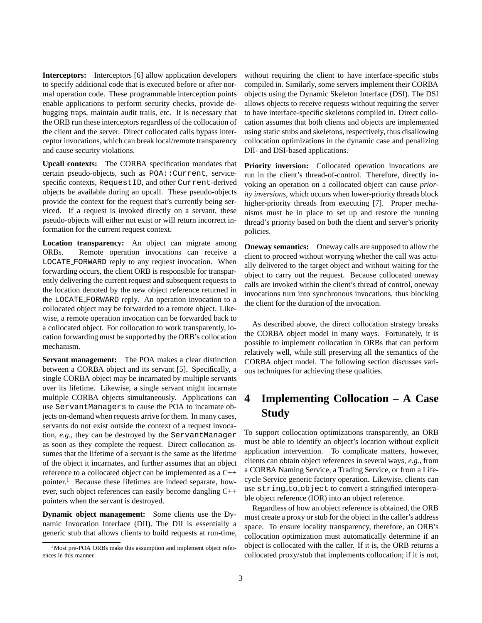**Interceptors:** Interceptors [6] allow application developers to specify additional code that is executed before or after normal operation code. These programmable interception points enable applications to perform security checks, provide debugging traps, maintain audit trails, etc. It is necessary that the ORB run these interceptors regardless of the collocation of the client and the server. Direct collocated calls bypass interceptor invocations, which can break local/remote transparency and cause security violations.

**Upcall contexts:** The CORBA specification mandates that certain pseudo-objects, such as POA::Current, servicespecific contexts, RequestID, and other Current-derived objects be available during an upcall. These pseudo-objects provide the context for the request that's currently being serviced. If a request is invoked directly on a servant, these pseudo-objects will either not exist or will return incorrect information for the current request context.

**Location transparency:** An object can migrate among ORBs. Remote operation invocations can receive a LOCATE FORWARD reply to any request invocation. When forwarding occurs, the client ORB is responsible for transparently delivering the current request and subsequent requests to the location denoted by the new object reference returned in the LOCATE FORWARD reply. An operation invocation to a collocated object may be forwarded to a remote object. Likewise, a remote operation invocation can be forwarded back to a collocated object. For collocation to work transparently, location forwarding must be supported by the ORB's collocation mechanism.

**Servant management:** The POA makes a clear distinction between a CORBA object and its servant [5]. Specifically, a single CORBA object may be incarnated by multiple servants over its lifetime. Likewise, a single servant might incarnate multiple CORBA objects simultaneously. Applications can use ServantManagers to cause the POA to incarnate objects on-demand when requests arrive for them. In many cases, servants do not exist outside the context of a request invocation, *e.g.*, they can be destroyed by the ServantManager as soon as they complete the request. Direct collocation assumes that the lifetime of a servant is the same as the lifetime of the object it incarnates, and further assumes that an object reference to a collocated object can be implemented as a C++ pointer.<sup>1</sup> Because these lifetimes are indeed separate, however, such object references can easily become dangling C++ pointers when the servant is destroyed.

**Dynamic object management:** Some clients use the Dynamic Invocation Interface (DII). The DII is essentially a generic stub that allows clients to build requests at run-time, without requiring the client to have interface-specific stubs compiled in. Similarly, some servers implement their CORBA objects using the Dynamic Skeleton Interface (DSI). The DSI allows objects to receive requests without requiring the server to have interface-specific skeletons compiled in. Direct collocation assumes that both clients and objects are implemented using static stubs and skeletons, respectively, thus disallowing collocation optimizations in the dynamic case and penalizing DII- and DSI-based applications.

**Priority inversion:** Collocated operation invocations are run in the client's thread-of-control. Therefore, directly invoking an operation on a collocated object can cause *priority inversions*, which occurs when lower-priority threads block higher-priority threads from executing [7]. Proper mechanisms must be in place to set up and restore the running thread's priority based on both the client and server's priority policies.

**Oneway semantics:** Oneway calls are supposed to allow the client to proceed without worrying whether the call was actually delivered to the target object and without waiting for the object to carry out the request. Because collocated oneway calls are invoked within the client's thread of control, oneway invocations turn into synchronous invocations, thus blocking the client for the duration of the invocation.

As described above, the direct collocation strategy breaks the CORBA object model in many ways. Fortunately, it is possible to implement collocation in ORBs that can perform relatively well, while still preserving all the semantics of the CORBA object model. The following section discusses various techniques for achieving these qualities.

# **4 Implementing Collocation – A Case Study**

To support collocation optimizations transparently, an ORB must be able to identify an object's location without explicit application intervention. To complicate matters, however, clients can obtain object references in several ways, *e.g.*, from a CORBA Naming Service, a Trading Service, or from a Lifecycle Service generic factory operation. Likewise, clients can use string to object to convert a stringified interoperable object reference (IOR) into an object reference.

Regardless of how an object reference is obtained, the ORB must create a proxy or stub for the object in the caller's address space. To ensure locality transparency, therefore, an ORB's collocation optimization must automatically determine if an object is collocated with the caller. If it is, the ORB returns a collocated proxy/stub that implements collocation; if it is not,

<sup>&</sup>lt;sup>1</sup>Most pre-POA ORBs make this assumption and implement object references in this manner.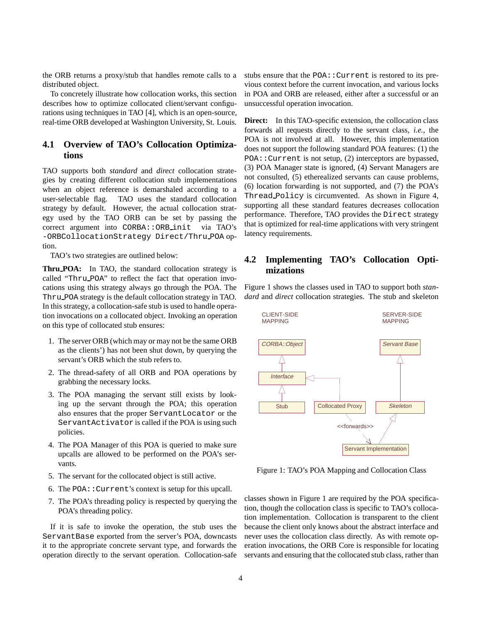the ORB returns a proxy/stub that handles remote calls to a distributed object.

To concretely illustrate how collocation works, this section describes how to optimize collocated client/servant configurations using techniques in TAO [4], which is an open-source, real-time ORB developed at Washington University, St. Louis.

### **4.1 Overview of TAO's Collocation Optimizations**

TAO supports both *standard* and *direct* collocation strategies by creating different collocation stub implementations when an object reference is demarshaled according to a user-selectable flag. TAO uses the standard collocation strategy by default. However, the actual collocation strategy used by the TAO ORB can be set by passing the correct argument into CORBA::ORB\_init via TAO's -ORBCollocationStrategy Direct/Thru POA option.

TAO's two strategies are outlined below:

**Thru POA:** In TAO, the standard collocation strategy is called "Thru POA" to reflect the fact that operation invocations using this strategy always go through the POA. The Thru POA strategy is the default collocation strategy in TAO. In this strategy, a collocation-safe stub is used to handle operation invocations on a collocated object. Invoking an operation on this type of collocated stub ensures:

- 1. The server ORB (which may or may not be the same ORB as the clients') has not been shut down, by querying the servant's ORB which the stub refers to.
- 2. The thread-safety of all ORB and POA operations by grabbing the necessary locks.
- 3. The POA managing the servant still exists by looking up the servant through the POA; this operation also ensures that the proper ServantLocator or the ServantActivator is called if the POA is using such policies.
- 4. The POA Manager of this POA is queried to make sure upcalls are allowed to be performed on the POA's servants.
- 5. The servant for the collocated object is still active.
- 6. The POA::Current's context is setup for this upcall.
- 7. The POA's threading policy is respected by querying the POA's threading policy.

If it is safe to invoke the operation, the stub uses the ServantBase exported from the server's POA, downcasts it to the appropriate concrete servant type, and forwards the operation directly to the servant operation. Collocation-safe stubs ensure that the POA:: Current is restored to its previous context before the current invocation, and various locks in POA and ORB are released, either after a successful or an unsuccessful operation invocation.

**Direct:** In this TAO-specific extension, the collocation class forwards all requests directly to the servant class, *i.e.*, the POA is not involved at all. However, this implementation does not support the following standard POA features: (1) the POA::Current is not setup, (2) interceptors are bypassed, (3) POA Manager state is ignored, (4) Servant Managers are not consulted, (5) etherealized servants can cause problems, (6) location forwarding is not supported, and (7) the POA's Thread Policy is circumvented. As shown in Figure 4, supporting all these standard features decreases collocation performance. Therefore, TAO provides the Direct strategy that is optimized for real-time applications with very stringent latency requirements.

### **4.2 Implementing TAO's Collocation Optimizations**

Figure 1 shows the classes used in TAO to support both *standard* and *direct* collocation strategies. The stub and skeleton



Figure 1: TAO's POA Mapping and Collocation Class

classes shown in Figure 1 are required by the POA specification, though the collocation class is specific to TAO's collocation implementation. Collocation is transparent to the client because the client only knows about the abstract interface and never uses the collocation class directly. As with remote operation invocations, the ORB Core is responsible for locating servants and ensuring that the collocated stub class, rather than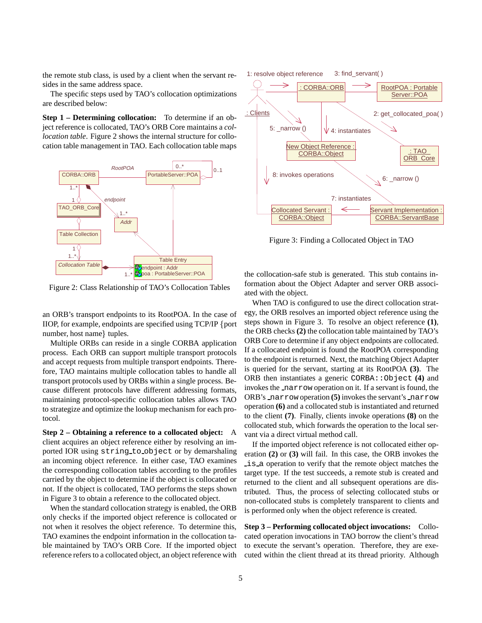the remote stub class, is used by a client when the servant resides in the same address space.

The specific steps used by TAO's collocation optimizations are described below:

**Step 1 – Determining collocation:** To determine if an object reference is collocated, TAO's ORB Core maintains a *collocation table*. Figure 2 shows the internal structure for collocation table management in TAO. Each collocation table maps



Figure 2: Class Relationship of TAO's Collocation Tables

an ORB's transport endpoints to its RootPOA. In the case of IIOP, for example, endpoints are specified using TCP/IP fport number, host name  $\{$  tuples.

Multiple ORBs can reside in a single CORBA application process. Each ORB can support multiple transport protocols and accept requests from multiple transport endpoints. Therefore, TAO maintains multiple collocation tables to handle all transport protocols used by ORBs within a single process. Because different protocols have different addressing formats, maintaining protocol-specific collocation tables allows TAO to strategize and optimize the lookup mechanism for each protocol.

**Step 2 – Obtaining a reference to a collocated object:** A client acquires an object reference either by resolving an imported IOR using string to object or by demarshaling an incoming object reference. In either case, TAO examines the corresponding collocation tables according to the profiles carried by the object to determine if the object is collocated or not. If the object is collocated, TAO performs the steps shown in Figure 3 to obtain a reference to the collocated object.

When the standard collocation strategy is enabled, the ORB only checks if the imported object reference is collocated or not when it resolves the object reference. To determine this, TAO examines the endpoint information in the collocation table maintained by TAO's ORB Core. If the imported object reference refers to a collocated object, an object reference with



Figure 3: Finding a Collocated Object in TAO

the collocation-safe stub is generated. This stub contains information about the Object Adapter and server ORB associated with the object.

When TAO is configured to use the direct collocation strategy, the ORB resolves an imported object reference using the steps shown in Figure 3. To resolve an object reference **(1)**, the ORB checks **(2)** the collocation table maintained by TAO's ORB Core to determine if any object endpoints are collocated. If a collocated endpoint is found the RootPOA corresponding to the endpoint is returned. Next, the matching Object Adapter is queried for the servant, starting at its RootPOA **(3)**. The ORB then instantiates a generic CORBA::Object **(4)** and invokes the narrow operation on it. If a servant is found, the ORB's narrow operation **(5)** invokes the servant's narrow operation **(6)** and a collocated stub is instantiated and returned to the client **(7)**. Finally, clients invoke operations **(8)** on the collocated stub, which forwards the operation to the local servant via a direct virtual method call.

If the imported object reference is not collocated either operation **(2)** or **(3)** will fail. In this case, the ORB invokes the is a operation to verify that the remote object matches the target type. If the test succeeds, a remote stub is created and returned to the client and all subsequent operations are distributed. Thus, the process of selecting collocated stubs or non-collocated stubs is completely transparent to clients and is performed only when the object reference is created.

**Step 3 – Performing collocated object invocations:** Collocated operation invocations in TAO borrow the client's thread to execute the servant's operation. Therefore, they are executed within the client thread at its thread priority. Although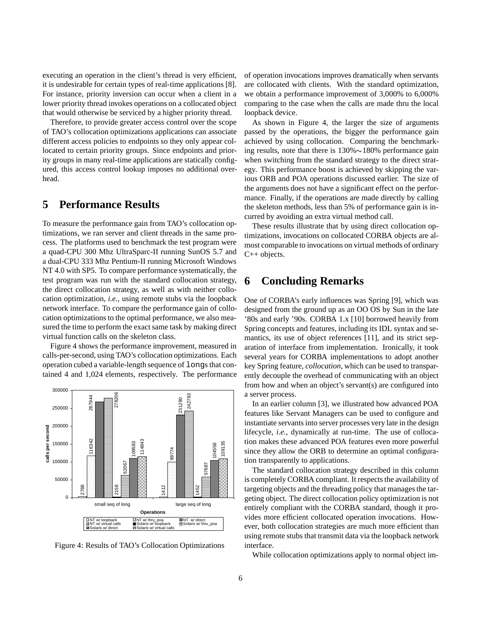executing an operation in the client's thread is very efficient, it is undesirable for certain types of real-time applications [8]. For instance, priority inversion can occur when a client in a lower priority thread invokes operations on a collocated object that would otherwise be serviced by a higher priority thread.

Therefore, to provide greater access control over the scope of TAO's collocation optimizations applications can associate different access policies to endpoints so they only appear collocated to certain priority groups. Since endpoints and priority groups in many real-time applications are statically configured, this access control lookup imposes no additional overhead.

# **5 Performance Results**

To measure the performance gain from TAO's collocation optimizations, we ran server and client threads in the same process. The platforms used to benchmark the test program were a quad-CPU 300 Mhz UltraSparc-II running SunOS 5.7 and a dual-CPU 333 Mhz Pentium-II running Microsoft Windows NT 4.0 with SP5. To compare performance systematically, the test program was run with the standard collocation strategy, the direct collocation strategy, as well as with neither collocation optimization, *i.e.*, using remote stubs via the loopback network interface. To compare the performance gain of collocation optimizations to the optimal performance, we also measured the time to perform the exact same task by making direct virtual function calls on the skeleton class.

Figure 4 shows the performance improvement, measured in calls-per-second, using TAO's collocation optimizations. Each operation cubed a variable-length sequence of longs that contained 4 and 1,024 elements, respectively. The performance





of operation invocations improves dramatically when servants are collocated with clients. With the standard optimization, we obtain a performance improvement of 3,000% to 6,000% comparing to the case when the calls are made thru the local loopback device.

As shown in Figure 4, the larger the size of arguments passed by the operations, the bigger the performance gain achieved by using collocation. Comparing the benchmarking results, note that there is  $130\% \sim 180\%$  performance gain when switching from the standard strategy to the direct strategy. This performance boost is achieved by skipping the various ORB and POA operations discussed earlier. The size of the arguments does not have a significant effect on the performance. Finally, if the operations are made directly by calling the skeleton methods, less than 5% of performance gain is incurred by avoiding an extra virtual method call.

These results illustrate that by using direct collocation optimizations, invocations on collocated CORBA objects are almost comparable to invocations on virtual methods of ordinary C++ objects.

## **6 Concluding Remarks**

One of CORBA's early influences was Spring [9], which was designed from the ground up as an OO OS by Sun in the late '80s and early '90s. CORBA 1.x [10] borrowed heavily from Spring concepts and features, including its IDL syntax and semantics, its use of object references [11], and its strict separation of interface from implementation. Ironically, it took several years for CORBA implementations to adopt another key Spring feature, *collocation*, which can be used to transparently decouple the overhead of communicating with an object from how and when an object's servant(s) are configured into a server process.

In an earlier column [3], we illustrated how advanced POA features like Servant Managers can be used to configure and instantiate servants into server processes very late in the design lifecycle, *i.e.*, dynamically at run-time. The use of collocation makes these advanced POA features even more powerful since they allow the ORB to determine an optimal configuration transparently to applications.

The standard collocation strategy described in this column is completely CORBA compliant. It respects the availability of targeting objects and the threading policy that manages the targeting object. The direct collocation policy optimization is not entirely compliant with the CORBA standard, though it provides more efficient collocated operation invocations. However, both collocation strategies are much more efficient than using remote stubs that transmit data via the loopback network interface.

While collocation optimizations apply to normal object im-